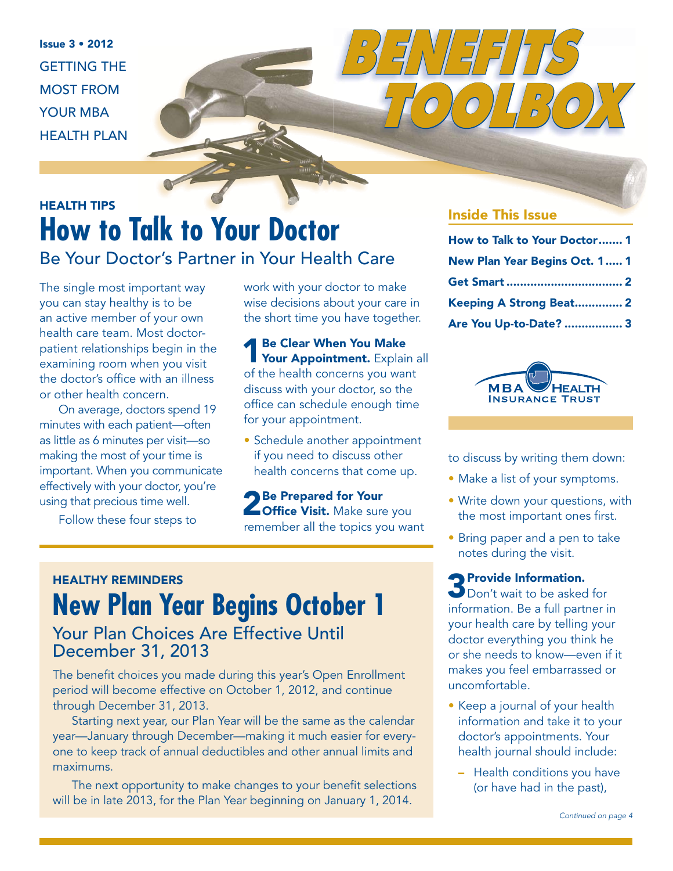$Isue 3 • 2012$ GETTING THE MOST FROM YOUR MBA HEALTH PLAN

# HEALTH TIPS **How to Talk to Your Doctor** Be Your Doctor's Partner in Your Health Care

The single most important way you can stay healthy is to be an active member of your own health care team. Most doctorpatient relationships begin in the examining room when you visit the doctor's office with an illness or other health concern.

On average, doctors spend 19 minutes with each patient—often as little as 6 minutes per visit—so making the most of your time is important. When you communicate effectively with your doctor, you're using that precious time well.

Follow these four steps to

work with your doctor to make wise decisions about your care in the short time you have together.

1 Be Clear When You Make<br>
Your Appointment. Explain all of the health concerns you want discuss with your doctor, so the office can schedule enough time for your appointment.

• Schedule another appointment if you need to discuss other health concerns that come up.

2 Be Prepared for Your<br>
2 Office Visit. Make sure you remember all the topics you want

# HEALTHY REMINDERS **New Plan Year Begins October 1**

### Your Plan Choices Are Effective Until December 31, 2013

The benefit choices you made during this year's Open Enrollment period will become effective on October 1, 2012, and continue through December 31, 2013.

Starting next year, our Plan Year will be the same as the calendar year—January through December—making it much easier for everyone to keep track of annual deductibles and other annual limits and maximums.

The next opportunity to make changes to your benefit selections will be in late 2013, for the Plan Year beginning on January 1, 2014.

### Inside This Issue

 *TOOLBOX*

*BENEFITS* 

| How to Talk to Your Doctor 1  |  |
|-------------------------------|--|
| New Plan Year Begins Oct. 1 1 |  |
|                               |  |
| Keeping A Strong Beat 2       |  |
| Are You Up-to-Date?  3        |  |



to discuss by writing them down:

- Make a list of your symptoms.
- Write down your questions, with the most important ones first.
- Bring paper and a pen to take notes during the visit.

**3** Provide Information.<br>
Don't wait to be asked for information. Be a full partner in your health care by telling your doctor everything you think he or she needs to know—even if it makes you feel embarrassed or uncomfortable.

- Keep a journal of your health information and take it to your doctor's appointments. Your health journal should include:
	- Health conditions you have (or have had in the past),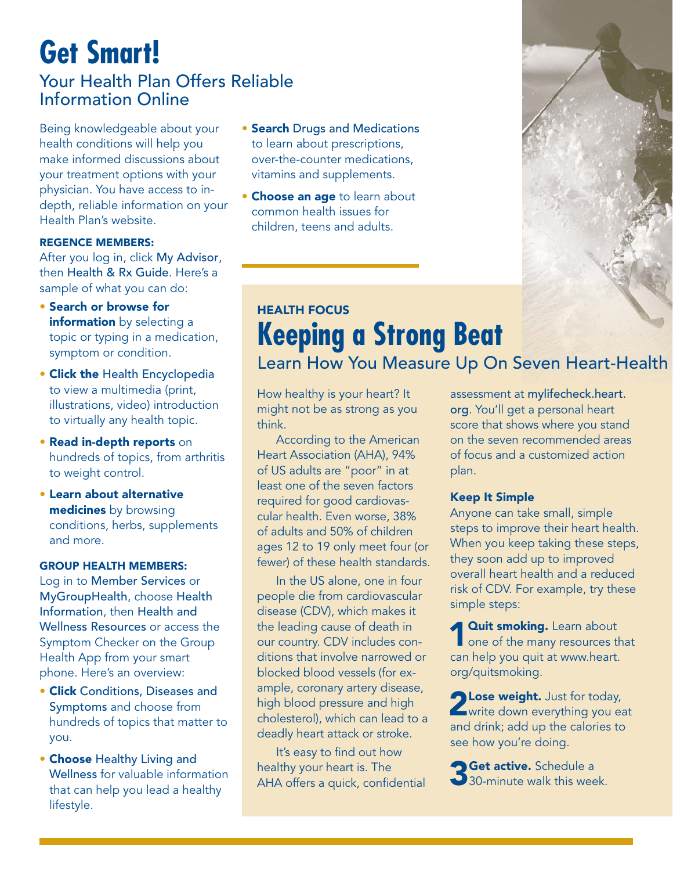## **Get Smart!** Your Health Plan Offers Reliable Information Online

Being knowledgeable about your health conditions will help you make informed discussions about your treatment options with your physician. You have access to indepth, reliable information on your Health Plan's website.

#### REGENCE MEMBERS:

After you log in, click My Advisor, then Health & Rx Guide. Here's a sample of what you can do:

- Search or browse for information by selecting a topic or typing in a medication, symptom or condition.
- Click the Health Encyclopedia to view a multimedia (print, illustrations, video) introduction to virtually any health topic.
- Read in-depth reports on hundreds of topics, from arthritis to weight control.
- Learn about alternative medicines by browsing conditions, herbs, supplements and more.

#### GROUP HEALTH MEMBERS:

Log in to Member Services or MyGroupHealth, choose Health Information, then Health and Wellness Resources or access the Symptom Checker on the Group Health App from your smart phone. Here's an overview:

- Click Conditions, Diseases and Symptoms and choose from hundreds of topics that matter to you.
- Choose Healthy Living and Wellness for valuable information that can help you lead a healthy lifestyle.
- **Search Drugs and Medications** to learn about prescriptions, over-the-counter medications, vitamins and supplements.
- **Choose an age to learn about** common health issues for children, teens and adults.



### HEALTH FOCUS **Keeping a Strong Beat**  Learn How You Measure Up On Seven Heart-Health

How healthy is your heart? It might not be as strong as you think.

According to the American Heart Association (AHA), 94% of US adults are "poor" in at least one of the seven factors required for good cardiovascular health. Even worse, 38% of adults and 50% of children ages 12 to 19 only meet four (or fewer) of these health standards.

In the US alone, one in four people die from cardiovascular disease (CDV), which makes it the leading cause of death in our country. CDV includes conditions that involve narrowed or blocked blood vessels (for example, coronary artery disease, high blood pressure and high cholesterol), which can lead to a deadly heart attack or stroke.

It's easy to find out how healthy your heart is. The AHA offers a quick, confidential assessment at mylifecheck.heart. org. You'll get a personal heart score that shows where you stand on the seven recommended areas of focus and a customized action plan.

#### Keep It Simple

Anyone can take small, simple steps to improve their heart health. When you keep taking these steps, they soon add up to improved overall heart health and a reduced risk of CDV. For example, try these simple steps:

**4 Quit smoking.** Learn about one of the many resources that can help you quit at www.heart. org/quitsmoking.

2Lose weight. Just for today, write down everything you eat and drink; add up the calories to see how you're doing.

**Get active.** Schedule a 30-minute walk this week.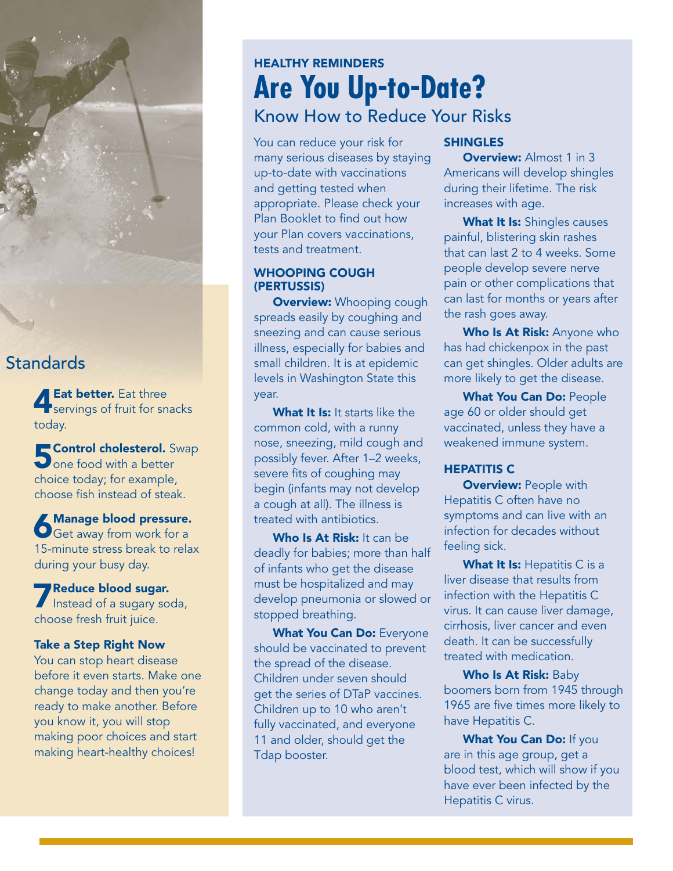### **Standards**

**4 Eat better.** Eat three<br>servings of fruit for snacks today.

**E Control cholesterol.** Swap One food with a better choice today; for example, choose fish instead of steak.

**6Manage blood pressure.**<br>Get away from work for a 15-minute stress break to relax during your busy day.

**7 Reduce blood sugar.** Instead of a sugary soda, choose fresh fruit juice.

#### Take a Step Right Now

You can stop heart disease before it even starts. Make one change today and then you're ready to make another. Before you know it, you will stop making poor choices and start making heart-healthy choices!

### HEALTHY REMINDERS **Are You Up-to-Date?** Know How to Reduce Your Risks

You can reduce your risk for many serious diseases by staying up-to-date with vaccinations and getting tested when appropriate. Please check your Plan Booklet to find out how your Plan covers vaccinations, tests and treatment.

#### WHOOPING COUGH (PERTUSSIS)

**Overview:** Whooping cough spreads easily by coughing and sneezing and can cause serious illness, especially for babies and small children. It is at epidemic levels in Washington State this year.

What It Is: It starts like the common cold, with a runny nose, sneezing, mild cough and possibly fever. After 1–2 weeks, severe fits of coughing may begin (infants may not develop a cough at all). The illness is treated with antibiotics.

Who Is At Risk: It can be deadly for babies; more than half of infants who get the disease must be hospitalized and may develop pneumonia or slowed or stopped breathing.

What You Can Do: Everyone should be vaccinated to prevent the spread of the disease. Children under seven should get the series of DTaP vaccines. Children up to 10 who aren't fully vaccinated, and everyone 11 and older, should get the Tdap booster.

### SHINGLES

**Overview: Almost 1 in 3** Americans will develop shingles during their lifetime. The risk increases with age.

What It Is: Shingles causes painful, blistering skin rashes that can last 2 to 4 weeks. Some people develop severe nerve pain or other complications that can last for months or years after the rash goes away.

Who Is At Risk: Anyone who has had chickenpox in the past can get shingles. Older adults are more likely to get the disease.

What You Can Do: People age 60 or older should get vaccinated, unless they have a weakened immune system.

#### HEPATITIS C

**Overview: People with** Hepatitis C often have no symptoms and can live with an infection for decades without feeling sick.

What It Is: Hepatitis C is a liver disease that results from infection with the Hepatitis C virus. It can cause liver damage, cirrhosis, liver cancer and even death. It can be successfully treated with medication.

Who Is At Risk: Baby boomers born from 1945 through 1965 are five times more likely to have Hepatitis C.

What You Can Do: If you are in this age group, get a blood test, which will show if you have ever been infected by the Hepatitis C virus.